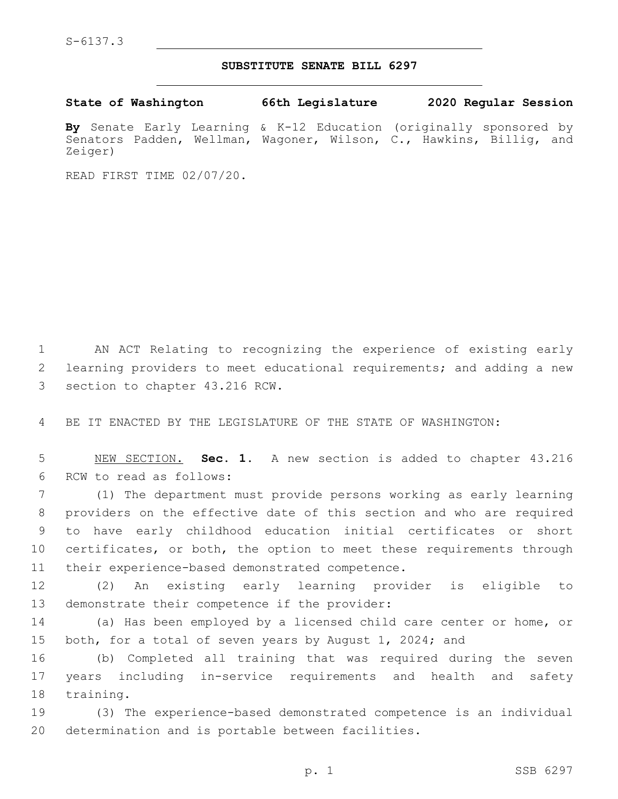## **SUBSTITUTE SENATE BILL 6297**

**State of Washington 66th Legislature 2020 Regular Session**

**By** Senate Early Learning & K-12 Education (originally sponsored by Senators Padden, Wellman, Wagoner, Wilson, C., Hawkins, Billig, and Zeiger)

READ FIRST TIME 02/07/20.

1 AN ACT Relating to recognizing the experience of existing early 2 learning providers to meet educational requirements; and adding a new 3 section to chapter 43.216 RCW.

4 BE IT ENACTED BY THE LEGISLATURE OF THE STATE OF WASHINGTON:

5 NEW SECTION. **Sec. 1.** A new section is added to chapter 43.216 6 RCW to read as follows:

 (1) The department must provide persons working as early learning providers on the effective date of this section and who are required to have early childhood education initial certificates or short certificates, or both, the option to meet these requirements through 11 their experience-based demonstrated competence.

12 (2) An existing early learning provider is eligible to 13 demonstrate their competence if the provider:

14 (a) Has been employed by a licensed child care center or home, or 15 both, for a total of seven years by August 1, 2024; and

16 (b) Completed all training that was required during the seven 17 years including in-service requirements and health and safety 18 training.

19 (3) The experience-based demonstrated competence is an individual 20 determination and is portable between facilities.